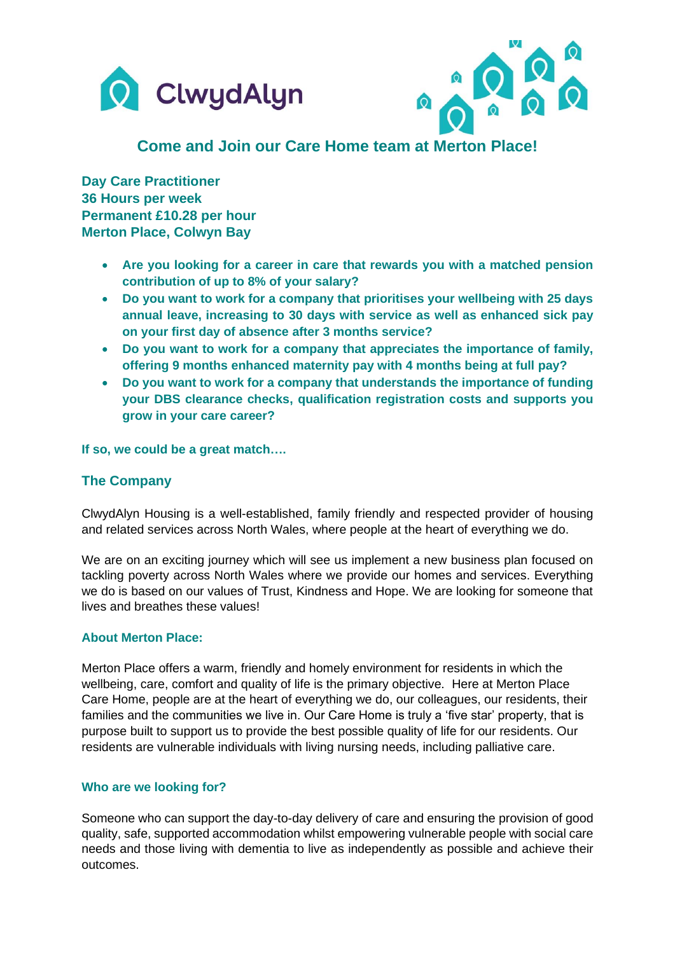



# **Come and Join our Care Home team at Merton Place!**

**Day Care Practitioner 36 Hours per week Permanent £10.28 per hour Merton Place, Colwyn Bay**

- **Are you looking for a career in care that rewards you with a matched pension contribution of up to 8% of your salary?**
- **Do you want to work for a company that prioritises your wellbeing with 25 days annual leave, increasing to 30 days with service as well as enhanced sick pay on your first day of absence after 3 months service?**
- **Do you want to work for a company that appreciates the importance of family, offering 9 months enhanced maternity pay with 4 months being at full pay?**
- **Do you want to work for a company that understands the importance of funding your DBS clearance checks, qualification registration costs and supports you grow in your care career?**

**If so, we could be a great match….**

# **The Company**

ClwydAlyn Housing is a well-established, family friendly and respected provider of housing and related services across North Wales, where people at the heart of everything we do.

We are on an exciting journey which will see us implement a new business plan focused on tackling poverty across North Wales where we provide our homes and services. Everything we do is based on our values of Trust, Kindness and Hope. We are looking for someone that lives and breathes these values!

# **About Merton Place:**

Merton Place offers a warm, friendly and homely environment for residents in which the wellbeing, care, comfort and quality of life is the primary objective. Here at Merton Place Care Home, people are at the heart of everything we do, our colleagues, our residents, their families and the communities we live in. Our Care Home is truly a 'five star' property, that is purpose built to support us to provide the best possible quality of life for our residents. Our residents are vulnerable individuals with living nursing needs, including palliative care.

# **Who are we looking for?**

Someone who can support the day-to-day delivery of care and ensuring the provision of good quality, safe, supported accommodation whilst empowering vulnerable people with social care needs and those living with dementia to live as independently as possible and achieve their outcomes.